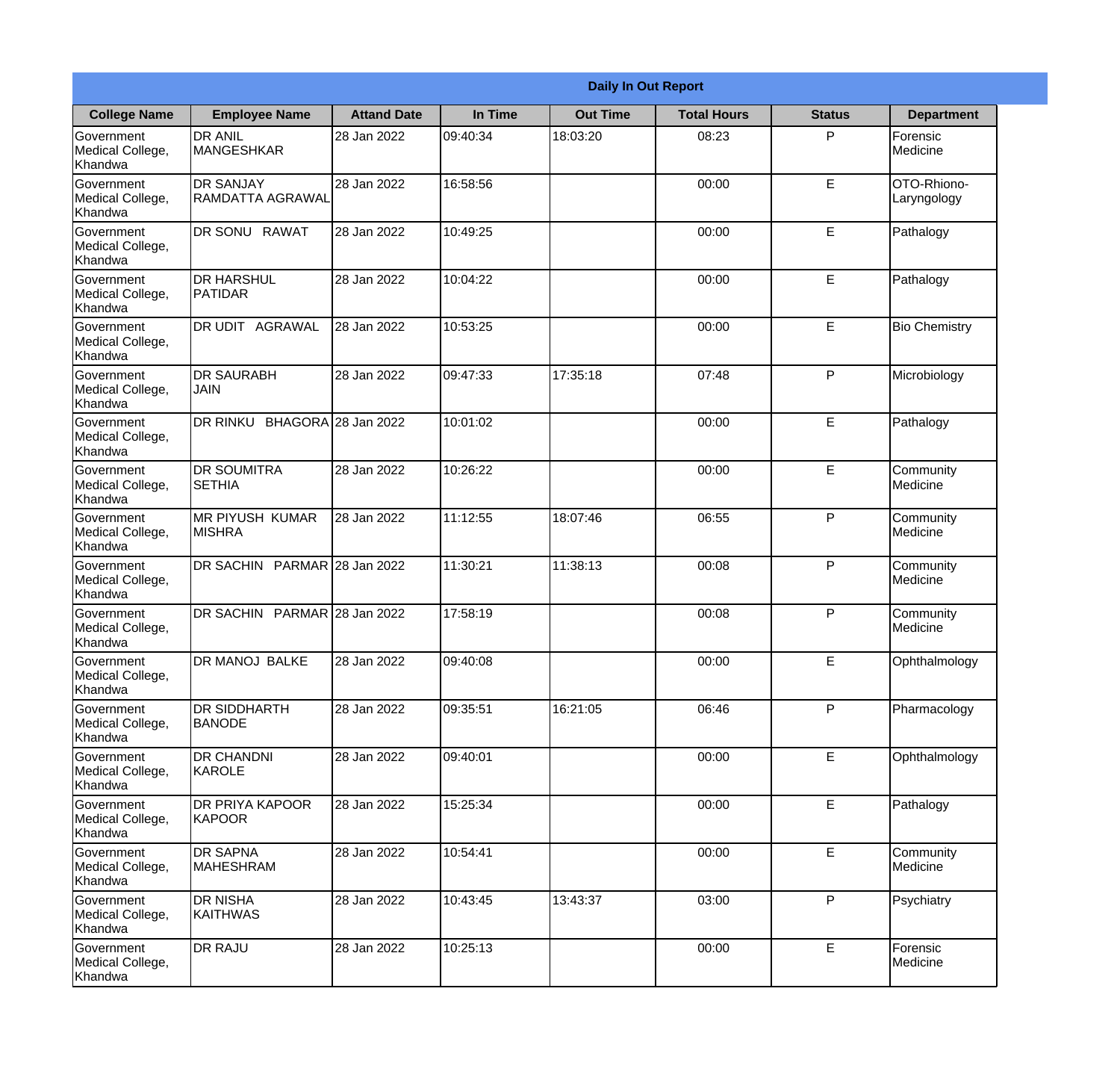|                                                  | <b>Daily In Out Report</b>                  |                    |          |                 |                    |               |                            |  |
|--------------------------------------------------|---------------------------------------------|--------------------|----------|-----------------|--------------------|---------------|----------------------------|--|
| <b>College Name</b>                              | <b>Employee Name</b>                        | <b>Attand Date</b> | In Time  | <b>Out Time</b> | <b>Total Hours</b> | <b>Status</b> | <b>Department</b>          |  |
| Government<br>Medical College,<br>Khandwa        | <b>DR ANIL</b><br><b>MANGESHKAR</b>         | 28 Jan 2022        | 09:40:34 | 18:03:20        | 08:23              | P             | Forensic<br>Medicine       |  |
| Government<br>Medical College,<br>Khandwa        | <b>DR SANJAY</b><br><b>RAMDATTA AGRAWAL</b> | 28 Jan 2022        | 16:58:56 |                 | 00:00              | E             | OTO-Rhiono-<br>Laryngology |  |
| <b>Government</b><br>Medical College,<br>Khandwa | <b>DR SONU RAWAT</b>                        | 28 Jan 2022        | 10:49:25 |                 | 00:00              | E             | Pathalogy                  |  |
| Government<br>Medical College,<br>Khandwa        | <b>DR HARSHUL</b><br>PATIDAR                | 28 Jan 2022        | 10:04:22 |                 | 00:00              | E             | Pathalogy                  |  |
| Government<br>Medical College,<br>Khandwa        | DR UDIT AGRAWAL                             | 28 Jan 2022        | 10:53:25 |                 | 00:00              | E             | <b>Bio Chemistry</b>       |  |
| Government<br>Medical College,<br>Khandwa        | <b>DR SAURABH</b><br><b>JAIN</b>            | 28 Jan 2022        | 09:47:33 | 17:35:18        | 07:48              | P             | Microbiology               |  |
| Government<br>Medical College,<br>Khandwa        | DR RINKU BHAGORA 28 Jan 2022                |                    | 10:01:02 |                 | 00:00              | E             | Pathalogy                  |  |
| Government<br>Medical College,<br>Khandwa        | <b>DR SOUMITRA</b><br><b>SETHIA</b>         | 28 Jan 2022        | 10:26:22 |                 | 00:00              | E             | Community<br>Medicine      |  |
| Government<br>Medical College,<br>Khandwa        | <b>MR PIYUSH KUMAR</b><br><b>MISHRA</b>     | 28 Jan 2022        | 11:12:55 | 18:07:46        | 06:55              | P             | Community<br>Medicine      |  |
| Government<br>Medical College,<br>Khandwa        | DR SACHIN PARMAR 28 Jan 2022                |                    | 11:30:21 | 11:38:13        | 00:08              | P             | Community<br>Medicine      |  |
| Government<br>Medical College,<br>Khandwa        | <b>DR SACHIN</b>                            | PARMAR 28 Jan 2022 | 17:58:19 |                 | 00:08              | $\mathsf{P}$  | Community<br>Medicine      |  |
| Government<br>Medical College,<br>Khandwa        | <b>DR MANOJ BALKE</b>                       | 28 Jan 2022        | 09:40:08 |                 | 00:00              | E             | Ophthalmology              |  |
| Government<br>Medical College,<br>Khandwa        | <b>DR SIDDHARTH</b><br><b>BANODE</b>        | 28 Jan 2022        | 09:35:51 | 16:21:05        | 06:46              | P             | Pharmacology               |  |
| Government<br>Medical College,<br>Khandwa        | <b>DR CHANDNI</b><br>KAROLE                 | 28 Jan 2022        | 09:40:01 |                 | 00:00              | E             | Ophthalmology              |  |
| Government<br>Medical College,<br>Khandwa        | DR PRIYA KAPOOR<br>KAPOOR                   | 28 Jan 2022        | 15:25:34 |                 | 00:00              | E             | Pathalogy                  |  |
| Government<br>Medical College,<br>Khandwa        | <b>DR SAPNA</b><br><b>MAHESHRAM</b>         | 28 Jan 2022        | 10:54:41 |                 | 00:00              | E             | Community<br>Medicine      |  |
| Government<br>Medical College,<br>Khandwa        | <b>DR NISHA</b><br>KAITHWAS                 | 28 Jan 2022        | 10:43:45 | 13:43:37        | 03:00              | P             | Psychiatry                 |  |
| Government<br>Medical College,<br>Khandwa        | <b>DR RAJU</b>                              | 28 Jan 2022        | 10:25:13 |                 | 00:00              | E             | Forensic<br>Medicine       |  |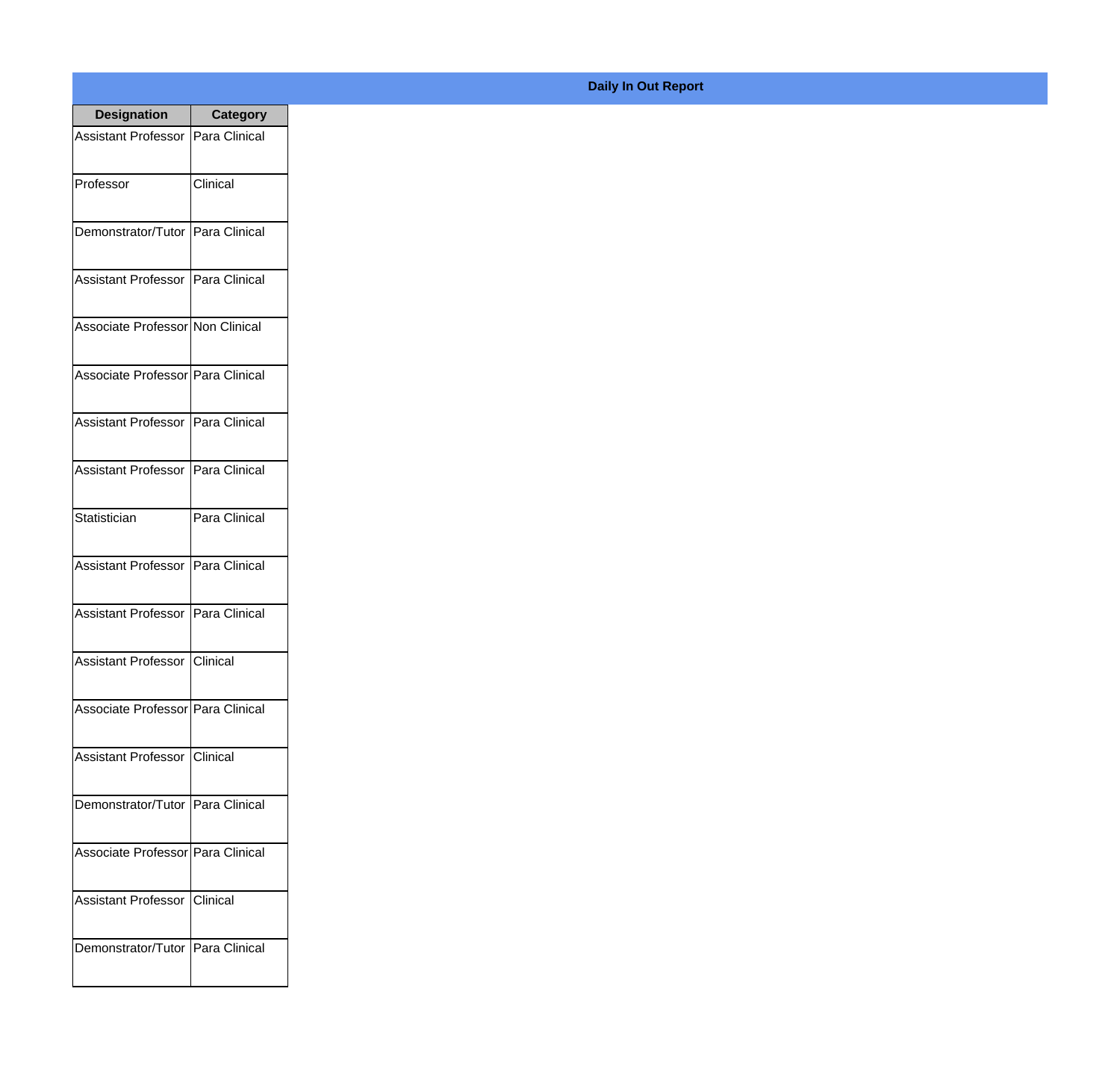| <b>Designation</b>                  | <b>Category</b> |
|-------------------------------------|-----------------|
| Assistant Professor   Para Clinical |                 |
| Professor                           | Clinical        |
| Demonstrator/Tutor   Para Clinical  |                 |
| Assistant Professor   Para Clinical |                 |
| Associate Professor Non Clinical    |                 |
| Associate Professor Para Clinical   |                 |
| Assistant Professor   Para Clinical |                 |
| Assistant Professor   Para Clinical |                 |
| Statistician                        | Para Clinical   |
| <b>Assistant Professor</b>          | Para Clinical   |
| Assistant Professor                 | Para Clinical   |
| Assistant Professor Clinical        |                 |
| Associate Professor   Para Clinical |                 |
| Assistant Professor   Clinical      |                 |
| Demonstrator/Tutor   Para Clinical  |                 |
| Associate Professor Para Clinical   |                 |
| <b>Assistant Professor</b>          | <b>Clinical</b> |
| Demonstrator/Tutor   Para Clinical  |                 |

## **Daily In Out Report**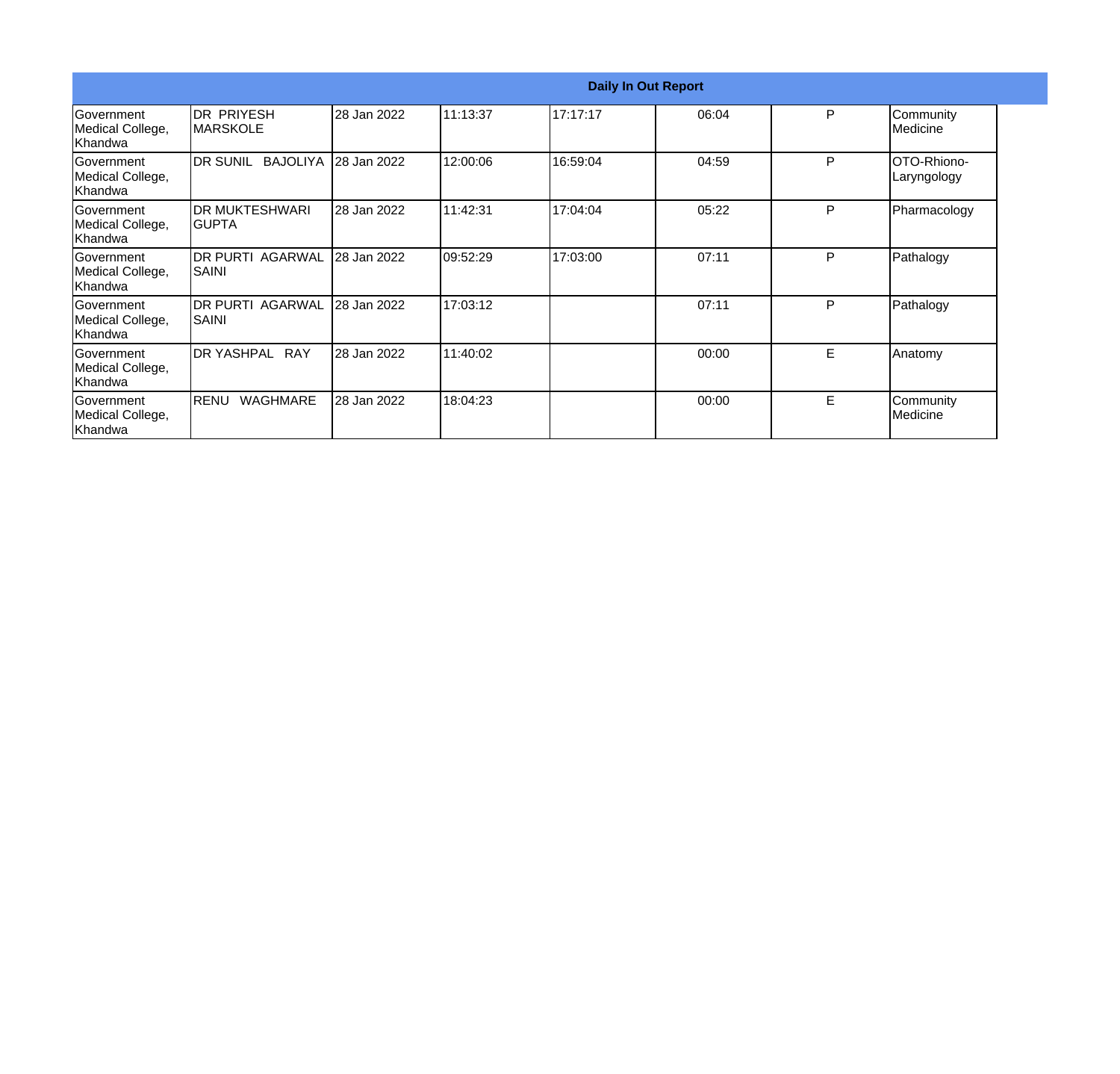| <b>Daily In Out Report</b>                       |                                  |             |          |          |       |   |                            |
|--------------------------------------------------|----------------------------------|-------------|----------|----------|-------|---|----------------------------|
| Government<br>Medical College,<br>Khandwa        | IDR PRIYESH<br><b>IMARSKOLE</b>  | 28 Jan 2022 | 11:13:37 | 17:17:17 | 06:04 | P | Community<br>Medicine      |
| Government<br>Medical College,<br>Khandwa        | IDR SUNIL BAJOLIYA 128 Jan 2022  |             | 12:00:06 | 16:59:04 | 04:59 | P | OTO-Rhiono-<br>Laryngology |
| Government<br>Medical College,<br>Khandwa        | <b>DR MUKTESHWARI</b><br>IGUPTA  | 28 Jan 2022 | 11:42:31 | 17:04:04 | 05:22 | P | Pharmacology               |
| Government<br>Medical College,<br>Khandwa        | <b>DR PURTI AGARWAL</b><br>SAINI | 28 Jan 2022 | 09:52:29 | 17:03:00 | 07:11 | P | Pathalogy                  |
| Government<br>Medical College,<br>Khandwa        | <b>DR PURTI AGARWAL</b><br>SAINI | 28 Jan 2022 | 17:03:12 |          | 07:11 | P | Pathalogy                  |
| Government<br>Medical College,<br>Khandwa        | <b>DR YASHPAL</b><br><b>RAY</b>  | 28 Jan 2022 | 11:40:02 |          | 00:00 | E | Anatomy                    |
| <b>Government</b><br>Medical College,<br>Khandwa | <b>WAGHMARE</b><br><b>RENU</b>   | 28 Jan 2022 | 18:04:23 |          | 00:00 | E | Community<br>Medicine      |